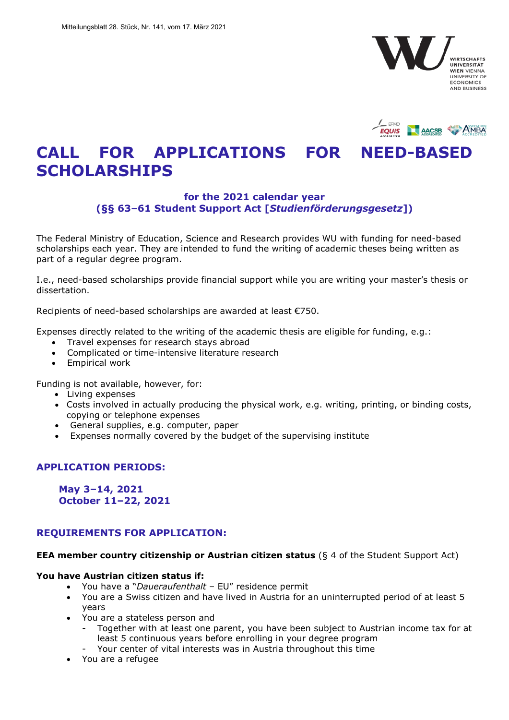



# **CALL FOR APPLICATIONS FOR NEED-BASED SCHOLARSHIPS**

# **for the 2021 calendar year (§§ 63–61 Student Support Act [***Studienförderungsgesetz***])**

The Federal Ministry of Education, Science and Research provides WU with funding for need-based scholarships each year. They are intended to fund the writing of academic theses being written as part of a regular degree program.

I.e., need-based scholarships provide financial support while you are writing your master's thesis or dissertation.

Recipients of need-based scholarships are awarded at least €750.

Expenses directly related to the writing of the academic thesis are eligible for funding, e.g.:

- Travel expenses for research stays abroad
- Complicated or time-intensive literature research
- Empirical work

Funding is not available, however, for:

- Living expenses
- Costs involved in actually producing the physical work, e.g. writing, printing, or binding costs, copying or telephone expenses
- General supplies, e.g. computer, paper
- Expenses normally covered by the budget of the supervising institute

## **APPLICATION PERIODS:**

 **May 3–14, 2021 October 11–22, 2021**

#### **REQUIREMENTS FOR APPLICATION:**

#### **EEA member country citizenship or Austrian citizen status** (§ 4 of the Student Support Act)

#### **You have Austrian citizen status if:**

- You have a "*Daueraufenthalt* EU" residence permit
- You are a Swiss citizen and have lived in Austria for an uninterrupted period of at least 5 years
- You are a stateless person and
	- Together with at least one parent, you have been subject to Austrian income tax for at least 5 continuous years before enrolling in your degree program
	- Your center of vital interests was in Austria throughout this time
- You are a refugee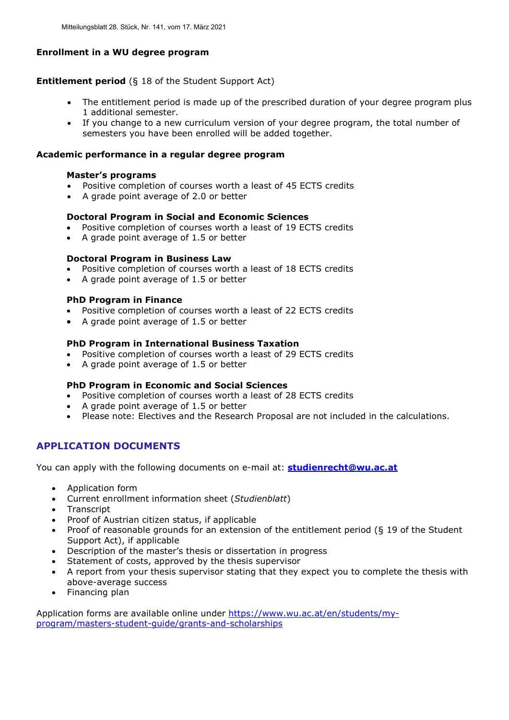# **Enrollment in a WU degree program**

## **Entitlement period** (§ 18 of the Student Support Act)

- The entitlement period is made up of the prescribed duration of your degree program plus 1 additional semester.
- If you change to a new curriculum version of your degree program, the total number of semesters you have been enrolled will be added together.

#### **Academic performance in a regular degree program**

#### **Master's programs**

- Positive completion of courses worth a least of 45 ECTS credits
- A grade point average of 2.0 or better

## **Doctoral Program in Social and Economic Sciences**

- Positive completion of courses worth a least of 19 ECTS credits
- A grade point average of 1.5 or better

#### **Doctoral Program in Business Law**

- Positive completion of courses worth a least of 18 ECTS credits
- A grade point average of 1.5 or better

## **PhD Program in Finance**

- Positive completion of courses worth a least of 22 ECTS credits
- A grade point average of 1.5 or better

## **PhD Program in International Business Taxation**

- Positive completion of courses worth a least of 29 ECTS credits
- A grade point average of 1.5 or better

## **PhD Program in Economic and Social Sciences**

- Positive completion of courses worth a least of 28 ECTS credits
- A grade point average of 1.5 or better
- Please note: Electives and the Research Proposal are not included in the calculations.

# **APPLICATION DOCUMENTS**

You can apply with the following documents on e-mail at: **[studienrecht@wu.ac.at](mailto:studienrecht@wu.ac.at)**

- Application form
- Current enrollment information sheet (*Studienblatt*)
- **Transcript**
- Proof of Austrian citizen status, if applicable
- Proof of reasonable grounds for an extension of the entitlement period (§ 19 of the Student Support Act), if applicable
- Description of the master's thesis or dissertation in progress
- Statement of costs, approved by the thesis supervisor
- A report from your thesis supervisor stating that they expect you to complete the thesis with above-average success
- Financing plan

Application forms are available online under [https://www.wu.ac.at/en/students/my](https://www.wu.ac.at/en/students/my-program/masters-student-guide/grants-and-scholarships)[program/masters-student-guide/grants-and-scholarships](https://www.wu.ac.at/en/students/my-program/masters-student-guide/grants-and-scholarships)